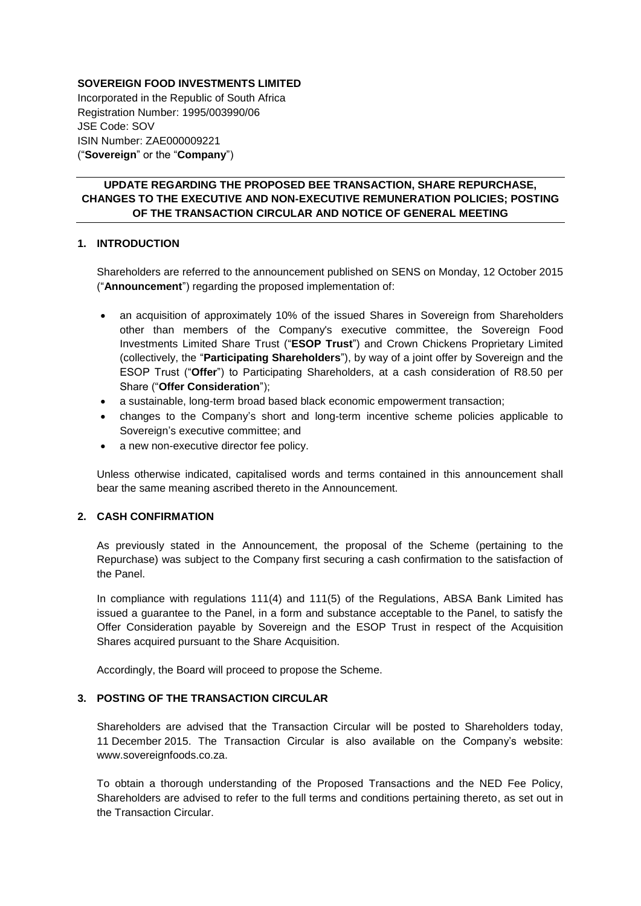## **SOVEREIGN FOOD INVESTMENTS LIMITED**

Incorporated in the Republic of South Africa Registration Number: 1995/003990/06 JSE Code: SOV ISIN Number: ZAE000009221 ("**Sovereign**" or the "**Company**")

# **UPDATE REGARDING THE PROPOSED BEE TRANSACTION, SHARE REPURCHASE, CHANGES TO THE EXECUTIVE AND NON-EXECUTIVE REMUNERATION POLICIES; POSTING OF THE TRANSACTION CIRCULAR AND NOTICE OF GENERAL MEETING**

# **1. INTRODUCTION**

Shareholders are referred to the announcement published on SENS on Monday, 12 October 2015 ("**Announcement**") regarding the proposed implementation of:

- an acquisition of approximately 10% of the issued Shares in Sovereign from Shareholders other than members of the Company's executive committee, the Sovereign Food Investments Limited Share Trust ("**ESOP Trust**") and Crown Chickens Proprietary Limited (collectively, the "**Participating Shareholders**"), by way of a joint offer by Sovereign and the ESOP Trust ("**Offer**") to Participating Shareholders, at a cash consideration of R8.50 per Share ("**Offer Consideration**");
- a sustainable, long-term broad based black economic empowerment transaction;
- changes to the Company's short and long-term incentive scheme policies applicable to Sovereign's executive committee; and
- a new non-executive director fee policy.

Unless otherwise indicated, capitalised words and terms contained in this announcement shall bear the same meaning ascribed thereto in the Announcement.

# **2. CASH CONFIRMATION**

As previously stated in the Announcement, the proposal of the Scheme (pertaining to the Repurchase) was subject to the Company first securing a cash confirmation to the satisfaction of the Panel.

In compliance with regulations 111(4) and 111(5) of the Regulations, ABSA Bank Limited has issued a guarantee to the Panel, in a form and substance acceptable to the Panel, to satisfy the Offer Consideration payable by Sovereign and the ESOP Trust in respect of the Acquisition Shares acquired pursuant to the Share Acquisition.

Accordingly, the Board will proceed to propose the Scheme.

# **3. POSTING OF THE TRANSACTION CIRCULAR**

Shareholders are advised that the Transaction Circular will be posted to Shareholders today, 11 December 2015. The Transaction Circular is also available on the Company's website: [www.sovereignfoods.co.za.](http://www.sovereignfoods.co.za/)

To obtain a thorough understanding of the Proposed Transactions and the NED Fee Policy, Shareholders are advised to refer to the full terms and conditions pertaining thereto, as set out in the Transaction Circular.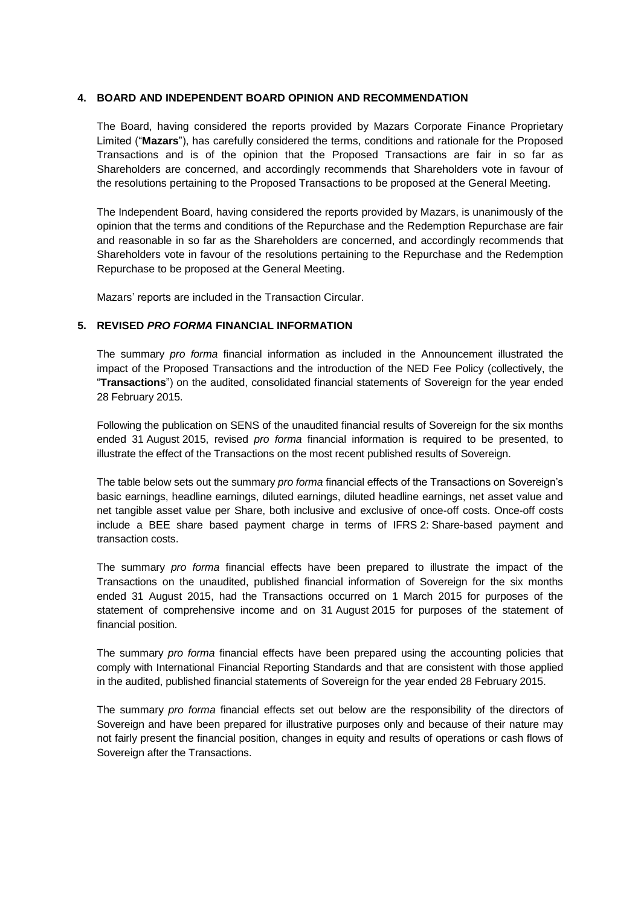### **4. BOARD AND INDEPENDENT BOARD OPINION AND RECOMMENDATION**

The Board, having considered the reports provided by Mazars Corporate Finance Proprietary Limited ("**Mazars**"), has carefully considered the terms, conditions and rationale for the Proposed Transactions and is of the opinion that the Proposed Transactions are fair in so far as Shareholders are concerned, and accordingly recommends that Shareholders vote in favour of the resolutions pertaining to the Proposed Transactions to be proposed at the General Meeting.

The Independent Board, having considered the reports provided by Mazars, is unanimously of the opinion that the terms and conditions of the Repurchase and the Redemption Repurchase are fair and reasonable in so far as the Shareholders are concerned, and accordingly recommends that Shareholders vote in favour of the resolutions pertaining to the Repurchase and the Redemption Repurchase to be proposed at the General Meeting.

Mazars' reports are included in the Transaction Circular.

# **5. REVISED** *PRO FORMA* **FINANCIAL INFORMATION**

The summary *pro forma* financial information as included in the Announcement illustrated the impact of the Proposed Transactions and the introduction of the NED Fee Policy (collectively, the "**Transactions**") on the audited, consolidated financial statements of Sovereign for the year ended 28 February 2015.

Following the publication on SENS of the unaudited financial results of Sovereign for the six months ended 31 August 2015, revised *pro forma* financial information is required to be presented, to illustrate the effect of the Transactions on the most recent published results of Sovereign.

The table below sets out the summary *pro forma* financial effects of the Transactions on Sovereign's basic earnings, headline earnings, diluted earnings, diluted headline earnings, net asset value and net tangible asset value per Share, both inclusive and exclusive of once-off costs. Once-off costs include a BEE share based payment charge in terms of IFRS 2: Share-based payment and transaction costs.

The summary *pro forma* financial effects have been prepared to illustrate the impact of the Transactions on the unaudited, published financial information of Sovereign for the six months ended 31 August 2015, had the Transactions occurred on 1 March 2015 for purposes of the statement of comprehensive income and on 31 August 2015 for purposes of the statement of financial position.

The summary *pro forma* financial effects have been prepared using the accounting policies that comply with International Financial Reporting Standards and that are consistent with those applied in the audited, published financial statements of Sovereign for the year ended 28 February 2015.

The summary *pro forma* financial effects set out below are the responsibility of the directors of Sovereign and have been prepared for illustrative purposes only and because of their nature may not fairly present the financial position, changes in equity and results of operations or cash flows of Sovereign after the Transactions.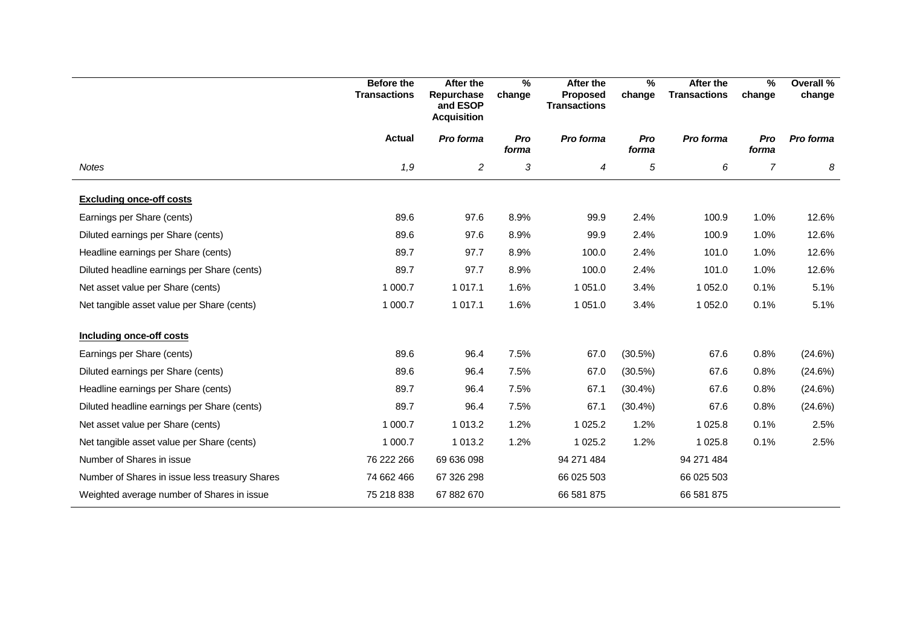|                                                | <b>Before the</b><br><b>Transactions</b> | <b>After the</b><br>Repurchase<br>and ESOP<br><b>Acquisition</b> | %<br>change  | After the<br><b>Proposed</b><br><b>Transactions</b> | $\frac{0}{0}$<br>change | After the<br><b>Transactions</b> | $\%$<br>change | Overall %<br>change |
|------------------------------------------------|------------------------------------------|------------------------------------------------------------------|--------------|-----------------------------------------------------|-------------------------|----------------------------------|----------------|---------------------|
|                                                | <b>Actual</b>                            | Pro forma                                                        | Pro<br>forma | Pro forma                                           | Pro<br>forma            | Pro forma                        | Pro<br>forma   | Pro forma           |
| <b>Notes</b>                                   | 1,9                                      | $\overline{c}$                                                   | 3            | 4                                                   | 5                       | 6                                | $\overline{7}$ | 8                   |
| <b>Excluding once-off costs</b>                |                                          |                                                                  |              |                                                     |                         |                                  |                |                     |
| Earnings per Share (cents)                     | 89.6                                     | 97.6                                                             | 8.9%         | 99.9                                                | 2.4%                    | 100.9                            | 1.0%           | 12.6%               |
| Diluted earnings per Share (cents)             | 89.6                                     | 97.6                                                             | 8.9%         | 99.9                                                | 2.4%                    | 100.9                            | 1.0%           | 12.6%               |
| Headline earnings per Share (cents)            | 89.7                                     | 97.7                                                             | 8.9%         | 100.0                                               | 2.4%                    | 101.0                            | 1.0%           | 12.6%               |
| Diluted headline earnings per Share (cents)    | 89.7                                     | 97.7                                                             | 8.9%         | 100.0                                               | 2.4%                    | 101.0                            | 1.0%           | 12.6%               |
| Net asset value per Share (cents)              | 1 000.7                                  | 1 0 1 7 . 1                                                      | 1.6%         | 1 0 5 1 .0                                          | 3.4%                    | 1 0 5 2.0                        | 0.1%           | 5.1%                |
| Net tangible asset value per Share (cents)     | 1 000.7                                  | 1 0 1 7 . 1                                                      | 1.6%         | 1 0 5 1 .0                                          | 3.4%                    | 1 0 5 2.0                        | 0.1%           | 5.1%                |
| Including once-off costs                       |                                          |                                                                  |              |                                                     |                         |                                  |                |                     |
| Earnings per Share (cents)                     | 89.6                                     | 96.4                                                             | 7.5%         | 67.0                                                | (30.5%)                 | 67.6                             | 0.8%           | (24.6%)             |
| Diluted earnings per Share (cents)             | 89.6                                     | 96.4                                                             | 7.5%         | 67.0                                                | (30.5%)                 | 67.6                             | 0.8%           | (24.6%)             |
| Headline earnings per Share (cents)            | 89.7                                     | 96.4                                                             | 7.5%         | 67.1                                                | (30.4%)                 | 67.6                             | 0.8%           | (24.6%)             |
| Diluted headline earnings per Share (cents)    | 89.7                                     | 96.4                                                             | 7.5%         | 67.1                                                | (30.4%)                 | 67.6                             | 0.8%           | (24.6%)             |
| Net asset value per Share (cents)              | 1 000.7                                  | 1 0 1 3.2                                                        | 1.2%         | 1 0 2 5 . 2                                         | 1.2%                    | 1 0 2 5 . 8                      | 0.1%           | 2.5%                |
| Net tangible asset value per Share (cents)     | 1 000.7                                  | 1 0 1 3.2                                                        | 1.2%         | 1 0 2 5 . 2                                         | 1.2%                    | 1 0 2 5 . 8                      | 0.1%           | 2.5%                |
| Number of Shares in issue                      | 76 222 266                               | 69 636 098                                                       |              | 94 271 484                                          |                         | 94 271 484                       |                |                     |
| Number of Shares in issue less treasury Shares | 74 662 466                               | 67 326 298                                                       |              | 66 025 503                                          |                         | 66 025 503                       |                |                     |
| Weighted average number of Shares in issue     | 75 218 838                               | 67 882 670                                                       |              | 66 581 875                                          |                         | 66 581 875                       |                |                     |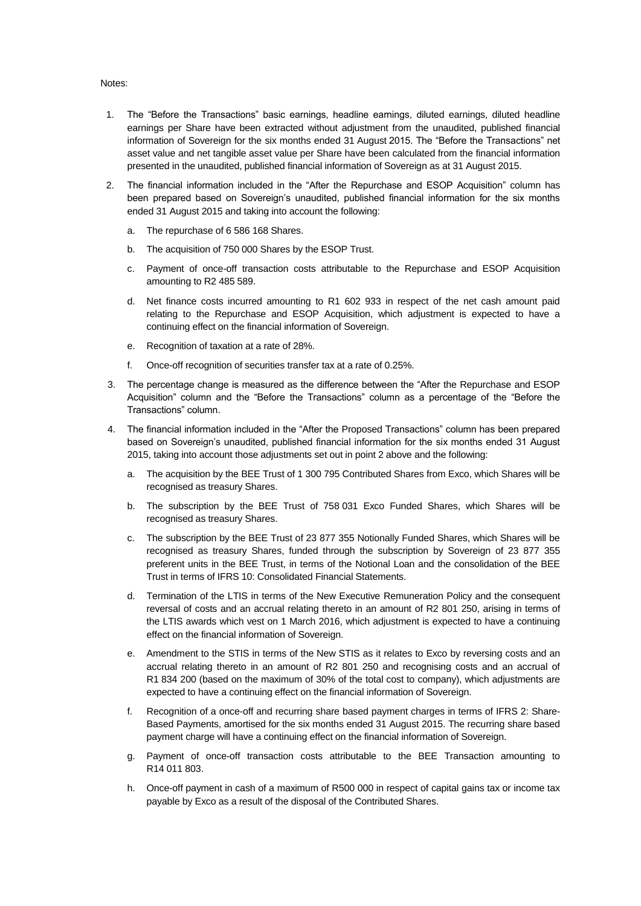#### Notes:

- 1. The "Before the Transactions" basic earnings, headline earnings, diluted earnings, diluted headline earnings per Share have been extracted without adjustment from the unaudited, published financial information of Sovereign for the six months ended 31 August 2015. The "Before the Transactions" net asset value and net tangible asset value per Share have been calculated from the financial information presented in the unaudited, published financial information of Sovereign as at 31 August 2015.
- 2. The financial information included in the "After the Repurchase and ESOP Acquisition" column has been prepared based on Sovereign's unaudited, published financial information for the six months ended 31 August 2015 and taking into account the following:
	- a. The repurchase of 6 586 168 Shares.
	- b. The acquisition of 750 000 Shares by the ESOP Trust.
	- c. Payment of once-off transaction costs attributable to the Repurchase and ESOP Acquisition amounting to R2 485 589.
	- d. Net finance costs incurred amounting to R1 602 933 in respect of the net cash amount paid relating to the Repurchase and ESOP Acquisition, which adjustment is expected to have a continuing effect on the financial information of Sovereign.
	- e. Recognition of taxation at a rate of 28%.
	- f. Once-off recognition of securities transfer tax at a rate of 0.25%.
- 3. The percentage change is measured as the difference between the "After the Repurchase and ESOP Acquisition" column and the "Before the Transactions" column as a percentage of the "Before the Transactions" column.
- 4. The financial information included in the "After the Proposed Transactions" column has been prepared based on Sovereign's unaudited, published financial information for the six months ended 31 August 2015, taking into account those adjustments set out in point 2 above and the following:
	- a. The acquisition by the BEE Trust of 1 300 795 Contributed Shares from Exco, which Shares will be recognised as treasury Shares.
	- b. The subscription by the BEE Trust of 758 031 Exco Funded Shares, which Shares will be recognised as treasury Shares.
	- c. The subscription by the BEE Trust of 23 877 355 Notionally Funded Shares, which Shares will be recognised as treasury Shares, funded through the subscription by Sovereign of 23 877 355 preferent units in the BEE Trust, in terms of the Notional Loan and the consolidation of the BEE Trust in terms of IFRS 10: Consolidated Financial Statements.
	- d. Termination of the LTIS in terms of the New Executive Remuneration Policy and the consequent reversal of costs and an accrual relating thereto in an amount of R2 801 250, arising in terms of the LTIS awards which vest on 1 March 2016, which adjustment is expected to have a continuing effect on the financial information of Sovereign.
	- e. Amendment to the STIS in terms of the New STIS as it relates to Exco by reversing costs and an accrual relating thereto in an amount of R2 801 250 and recognising costs and an accrual of R1 834 200 (based on the maximum of 30% of the total cost to company), which adjustments are expected to have a continuing effect on the financial information of Sovereign.
	- f. Recognition of a once-off and recurring share based payment charges in terms of IFRS 2: Share-Based Payments, amortised for the six months ended 31 August 2015. The recurring share based payment charge will have a continuing effect on the financial information of Sovereign.
	- Payment of once-off transaction costs attributable to the BEE Transaction amounting to R14 011 803.
	- h. Once-off payment in cash of a maximum of R500 000 in respect of capital gains tax or income tax payable by Exco as a result of the disposal of the Contributed Shares.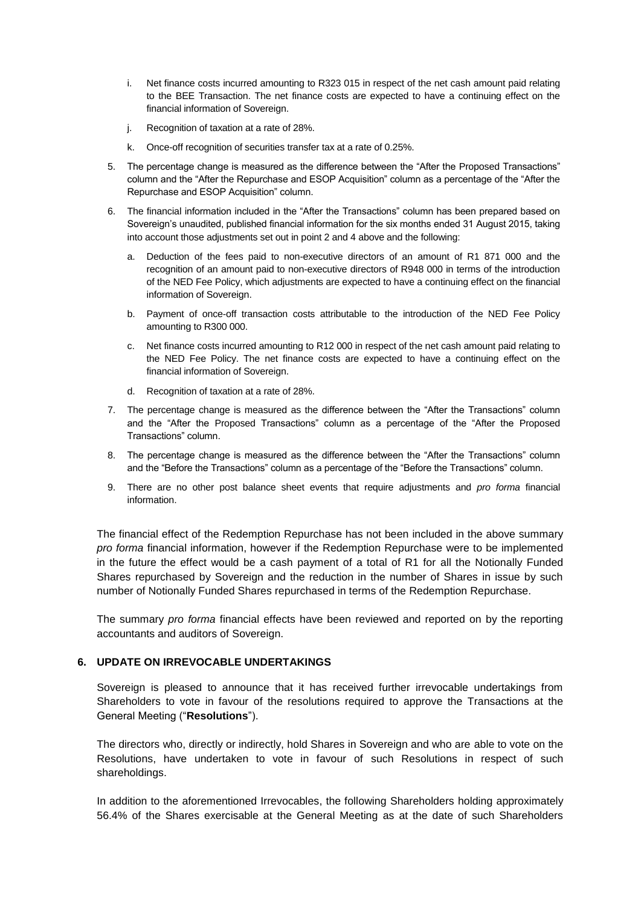- i. Net finance costs incurred amounting to R323 015 in respect of the net cash amount paid relating to the BEE Transaction. The net finance costs are expected to have a continuing effect on the financial information of Sovereign.
- j. Recognition of taxation at a rate of 28%.
- k. Once-off recognition of securities transfer tax at a rate of 0.25%.
- 5. The percentage change is measured as the difference between the "After the Proposed Transactions" column and the "After the Repurchase and ESOP Acquisition" column as a percentage of the "After the Repurchase and ESOP Acquisition" column.
- 6. The financial information included in the "After the Transactions" column has been prepared based on Sovereign's unaudited, published financial information for the six months ended 31 August 2015, taking into account those adjustments set out in point 2 and 4 above and the following:
	- a. Deduction of the fees paid to non-executive directors of an amount of R1 871 000 and the recognition of an amount paid to non-executive directors of R948 000 in terms of the introduction of the NED Fee Policy, which adjustments are expected to have a continuing effect on the financial information of Sovereign.
	- b. Payment of once-off transaction costs attributable to the introduction of the NED Fee Policy amounting to R300 000.
	- c. Net finance costs incurred amounting to R12 000 in respect of the net cash amount paid relating to the NED Fee Policy. The net finance costs are expected to have a continuing effect on the financial information of Sovereign.
	- d. Recognition of taxation at a rate of 28%.
- 7. The percentage change is measured as the difference between the "After the Transactions" column and the "After the Proposed Transactions" column as a percentage of the "After the Proposed Transactions" column.
- 8. The percentage change is measured as the difference between the "After the Transactions" column and the "Before the Transactions" column as a percentage of the "Before the Transactions" column.
- 9. There are no other post balance sheet events that require adjustments and *pro forma* financial information.

The financial effect of the Redemption Repurchase has not been included in the above summary *pro forma* financial information, however if the Redemption Repurchase were to be implemented in the future the effect would be a cash payment of a total of R1 for all the Notionally Funded Shares repurchased by Sovereign and the reduction in the number of Shares in issue by such number of Notionally Funded Shares repurchased in terms of the Redemption Repurchase.

The summary *pro forma* financial effects have been reviewed and reported on by the reporting accountants and auditors of Sovereign.

### **6. UPDATE ON IRREVOCABLE UNDERTAKINGS**

Sovereign is pleased to announce that it has received further irrevocable undertakings from Shareholders to vote in favour of the resolutions required to approve the Transactions at the General Meeting ("**Resolutions**").

The directors who, directly or indirectly, hold Shares in Sovereign and who are able to vote on the Resolutions, have undertaken to vote in favour of such Resolutions in respect of such shareholdings.

In addition to the aforementioned Irrevocables, the following Shareholders holding approximately 56.4% of the Shares exercisable at the General Meeting as at the date of such Shareholders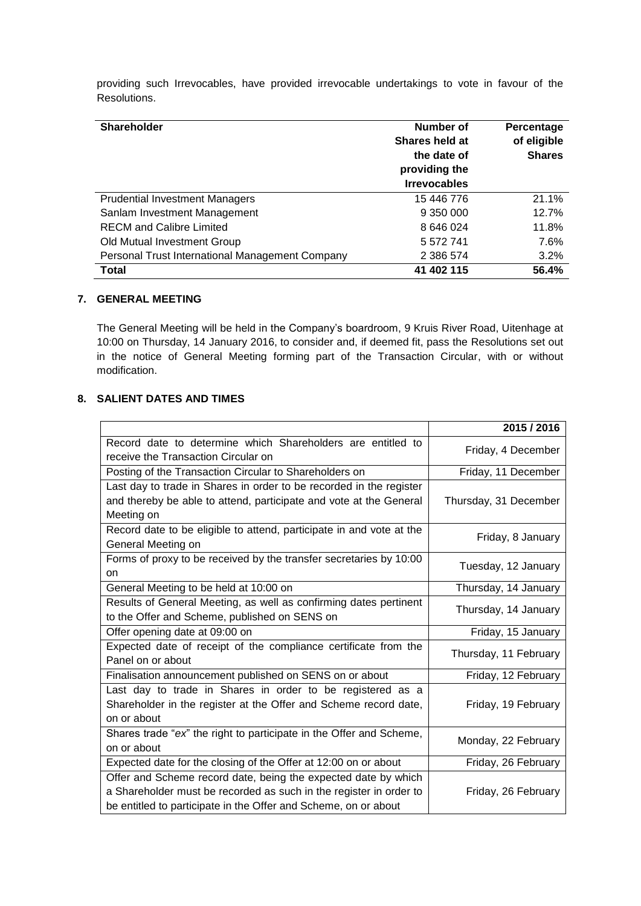providing such Irrevocables, have provided irrevocable undertakings to vote in favour of the Resolutions.

| <b>Shareholder</b>                              | Number of<br>Shares held at<br>the date of<br>providing the<br><b>Irrevocables</b> | Percentage<br>of eligible<br><b>Shares</b> |
|-------------------------------------------------|------------------------------------------------------------------------------------|--------------------------------------------|
| <b>Prudential Investment Managers</b>           | 15 446 776                                                                         | 21.1%                                      |
| Sanlam Investment Management                    | 9 350 000                                                                          | 12.7%                                      |
| <b>RECM</b> and Calibre Limited                 | 8 646 024                                                                          | 11.8%                                      |
| Old Mutual Investment Group                     | 5 572 741                                                                          | 7.6%                                       |
| Personal Trust International Management Company | 2 386 574                                                                          | 3.2%                                       |
| Total                                           | 41 402 115                                                                         | 56.4%                                      |

### **7. GENERAL MEETING**

The General Meeting will be held in the Company's boardroom, 9 Kruis River Road, Uitenhage at 10:00 on Thursday, 14 January 2016, to consider and, if deemed fit, pass the Resolutions set out in the notice of General Meeting forming part of the Transaction Circular, with or without modification.

# **8. SALIENT DATES AND TIMES**

|                                                                                                                                                                                                         | 2015 / 2016           |
|---------------------------------------------------------------------------------------------------------------------------------------------------------------------------------------------------------|-----------------------|
| Record date to determine which Shareholders are entitled to<br>receive the Transaction Circular on                                                                                                      | Friday, 4 December    |
| Posting of the Transaction Circular to Shareholders on                                                                                                                                                  | Friday, 11 December   |
| Last day to trade in Shares in order to be recorded in the register<br>and thereby be able to attend, participate and vote at the General<br>Meeting on                                                 | Thursday, 31 December |
| Record date to be eligible to attend, participate in and vote at the<br>General Meeting on                                                                                                              | Friday, 8 January     |
| Forms of proxy to be received by the transfer secretaries by 10:00<br>on                                                                                                                                | Tuesday, 12 January   |
| General Meeting to be held at 10:00 on                                                                                                                                                                  | Thursday, 14 January  |
| Results of General Meeting, as well as confirming dates pertinent<br>to the Offer and Scheme, published on SENS on                                                                                      | Thursday, 14 January  |
| Offer opening date at 09:00 on                                                                                                                                                                          | Friday, 15 January    |
| Expected date of receipt of the compliance certificate from the<br>Panel on or about                                                                                                                    | Thursday, 11 February |
| Finalisation announcement published on SENS on or about                                                                                                                                                 | Friday, 12 February   |
| Last day to trade in Shares in order to be registered as a<br>Shareholder in the register at the Offer and Scheme record date,<br>on or about                                                           | Friday, 19 February   |
| Shares trade "ex" the right to participate in the Offer and Scheme,<br>on or about                                                                                                                      | Monday, 22 February   |
| Expected date for the closing of the Offer at 12:00 on or about                                                                                                                                         | Friday, 26 February   |
| Offer and Scheme record date, being the expected date by which<br>a Shareholder must be recorded as such in the register in order to<br>be entitled to participate in the Offer and Scheme, on or about | Friday, 26 February   |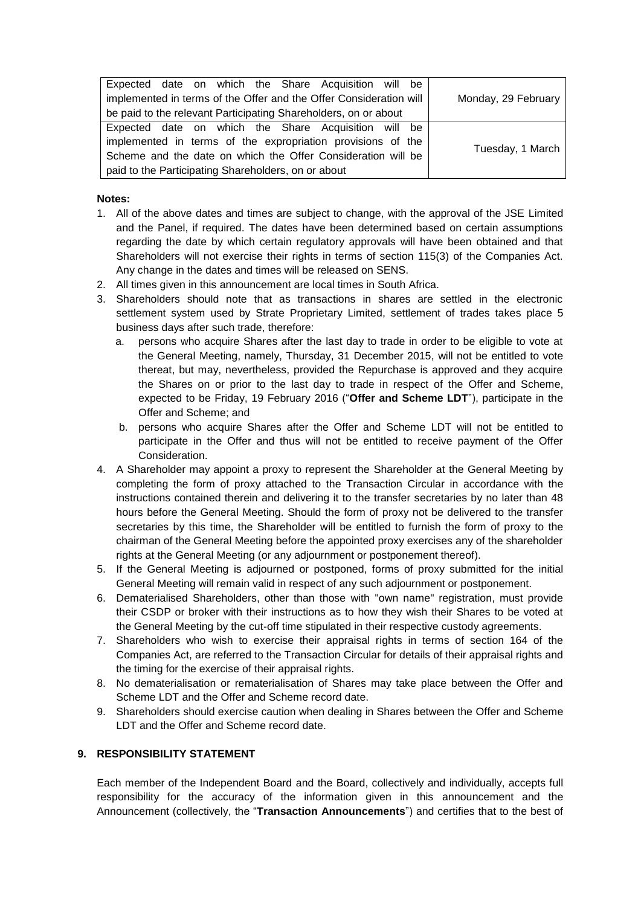| Expected date on which the Share Acquisition will be               |                     |
|--------------------------------------------------------------------|---------------------|
| implemented in terms of the Offer and the Offer Consideration will | Monday, 29 February |
| be paid to the relevant Participating Shareholders, on or about    |                     |
| Expected date on which the Share Acquisition will be               |                     |
| implemented in terms of the expropriation provisions of the        | Tuesday, 1 March    |
| Scheme and the date on which the Offer Consideration will be       |                     |
| paid to the Participating Shareholders, on or about                |                     |

### **Notes:**

- 1. All of the above dates and times are subject to change, with the approval of the JSE Limited and the Panel, if required. The dates have been determined based on certain assumptions regarding the date by which certain regulatory approvals will have been obtained and that Shareholders will not exercise their rights in terms of section 115(3) of the Companies Act. Any change in the dates and times will be released on SENS.
- 2. All times given in this announcement are local times in South Africa.
- 3. Shareholders should note that as transactions in shares are settled in the electronic settlement system used by Strate Proprietary Limited, settlement of trades takes place 5 business days after such trade, therefore:
	- a. persons who acquire Shares after the last day to trade in order to be eligible to vote at the General Meeting, namely, Thursday, 31 December 2015, will not be entitled to vote thereat, but may, nevertheless, provided the Repurchase is approved and they acquire the Shares on or prior to the last day to trade in respect of the Offer and Scheme, expected to be Friday, 19 February 2016 ("**Offer and Scheme LDT**"), participate in the Offer and Scheme; and
	- b. persons who acquire Shares after the Offer and Scheme LDT will not be entitled to participate in the Offer and thus will not be entitled to receive payment of the Offer Consideration.
- 4. A Shareholder may appoint a proxy to represent the Shareholder at the General Meeting by completing the form of proxy attached to the Transaction Circular in accordance with the instructions contained therein and delivering it to the transfer secretaries by no later than 48 hours before the General Meeting. Should the form of proxy not be delivered to the transfer secretaries by this time, the Shareholder will be entitled to furnish the form of proxy to the chairman of the General Meeting before the appointed proxy exercises any of the shareholder rights at the General Meeting (or any adjournment or postponement thereof).
- 5. If the General Meeting is adjourned or postponed, forms of proxy submitted for the initial General Meeting will remain valid in respect of any such adjournment or postponement.
- 6. Dematerialised Shareholders, other than those with "own name" registration, must provide their CSDP or broker with their instructions as to how they wish their Shares to be voted at the General Meeting by the cut-off time stipulated in their respective custody agreements.
- 7. Shareholders who wish to exercise their appraisal rights in terms of section 164 of the Companies Act, are referred to the Transaction Circular for details of their appraisal rights and the timing for the exercise of their appraisal rights.
- 8. No dematerialisation or rematerialisation of Shares may take place between the Offer and Scheme LDT and the Offer and Scheme record date.
- 9. Shareholders should exercise caution when dealing in Shares between the Offer and Scheme LDT and the Offer and Scheme record date.

# **9. RESPONSIBILITY STATEMENT**

Each member of the Independent Board and the Board, collectively and individually, accepts full responsibility for the accuracy of the information given in this announcement and the Announcement (collectively, the "**Transaction Announcements**") and certifies that to the best of